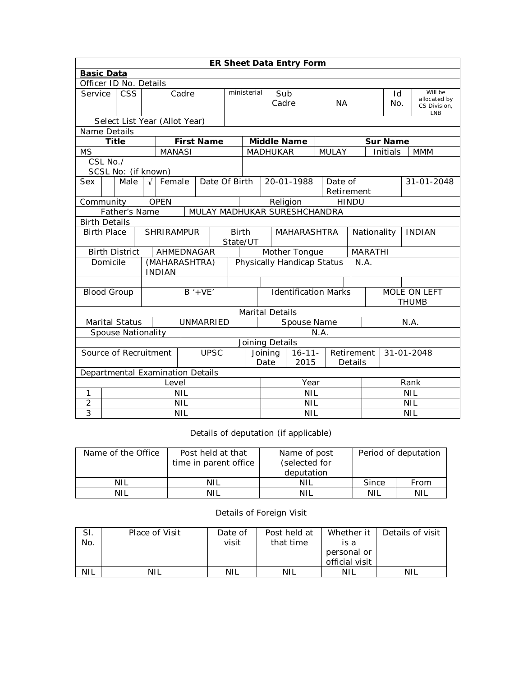|                | <b>ER Sheet Data Entry Form</b>               |                                               |       |                                |             |                   |                                      |                          |                                                             |                       |  |              |                |      |                            |                         |            |
|----------------|-----------------------------------------------|-----------------------------------------------|-------|--------------------------------|-------------|-------------------|--------------------------------------|--------------------------|-------------------------------------------------------------|-----------------------|--|--------------|----------------|------|----------------------------|-------------------------|------------|
|                | <b>Basic Data</b>                             |                                               |       |                                |             |                   |                                      |                          |                                                             |                       |  |              |                |      |                            |                         |            |
|                | Officer ID No. Details                        |                                               |       |                                |             |                   |                                      |                          |                                                             |                       |  |              |                |      |                            |                         |            |
| Service        |                                               | $\overline{\text{CSS}}$                       | Cadre |                                |             | ministerial       |                                      | Sub                      |                                                             |                       |  |              |                | Id   |                            | Will be<br>allocated by |            |
|                |                                               |                                               |       |                                |             |                   | Cadre                                |                          | <b>NA</b>                                                   |                       |  |              | No.            |      | CS Division,<br><b>LNB</b> |                         |            |
|                |                                               | Select List Year (Allot Year)                 |       |                                |             |                   |                                      |                          |                                                             |                       |  |              |                |      |                            |                         |            |
| Name Details   |                                               |                                               |       |                                |             |                   |                                      |                          |                                                             |                       |  |              |                |      |                            |                         |            |
|                | <b>Title</b>                                  |                                               |       |                                |             | <b>First Name</b> |                                      |                          | <b>Middle Name</b>                                          |                       |  |              |                |      | <b>Sur Name</b>            |                         |            |
| <b>MS</b>      |                                               |                                               |       | <b>MANASI</b>                  |             |                   |                                      |                          | <b>MADHUKAR</b>                                             |                       |  | <b>MULAY</b> |                |      | Initials                   |                         | <b>MMM</b> |
|                | CSL No./                                      |                                               |       |                                |             |                   |                                      |                          |                                                             |                       |  |              |                |      |                            |                         |            |
|                |                                               | SCSL No: (if known)                           |       |                                |             |                   |                                      |                          |                                                             |                       |  |              |                |      |                            |                         |            |
| Sex            |                                               | Male<br>Date Of Birth<br>Female<br>$\sqrt{ }$ |       |                                |             |                   | 20-01-1988                           |                          |                                                             | Date of<br>Retirement |  |              |                |      | 31-01-2048                 |                         |            |
| Community      |                                               |                                               |       | <b>OPEN</b>                    |             |                   |                                      |                          | Religion                                                    |                       |  |              | <b>HINDU</b>   |      |                            |                         |            |
|                | Father's Name<br>MULAY MADHUKAR SURESHCHANDRA |                                               |       |                                |             |                   |                                      |                          |                                                             |                       |  |              |                |      |                            |                         |            |
|                | <b>Birth Details</b>                          |                                               |       |                                |             |                   |                                      |                          |                                                             |                       |  |              |                |      |                            |                         |            |
|                | <b>SHRIRAMPUR</b><br><b>Birth Place</b>       |                                               |       | <b>Birth</b>                   | MAHARASHTRA |                   |                                      |                          | Nationality<br><b>INDIAN</b>                                |                       |  |              |                |      |                            |                         |            |
|                | State/UT                                      |                                               |       |                                |             |                   |                                      |                          |                                                             |                       |  |              |                |      |                            |                         |            |
|                |                                               | <b>Birth District</b>                         |       | AHMEDNAGAR                     |             |                   |                                      |                          | Mother Tongue                                               |                       |  |              | <b>MARATHI</b> |      |                            |                         |            |
|                | Domicile                                      |                                               |       | (MAHARASHTRA)<br><b>INDIAN</b> |             |                   |                                      |                          | Physically Handicap Status                                  |                       |  |              | N.A.           |      |                            |                         |            |
|                |                                               |                                               |       |                                |             |                   |                                      |                          |                                                             |                       |  |              |                |      |                            |                         |            |
|                |                                               | <b>Blood Group</b>                            |       |                                |             | $B' + VE'$        |                                      |                          | <b>Identification Marks</b><br>MOLE ON LEFT<br><b>THUMB</b> |                       |  |              |                |      |                            |                         |            |
|                |                                               |                                               |       |                                |             |                   |                                      |                          | Marital Details                                             |                       |  |              |                |      |                            |                         |            |
|                |                                               | <b>Marital Status</b>                         |       |                                |             | UNMARRIED         |                                      |                          | Spouse Name                                                 |                       |  |              |                | N.A. |                            |                         |            |
|                |                                               | <b>Spouse Nationality</b>                     |       |                                |             |                   |                                      |                          | N.A.                                                        |                       |  |              |                |      |                            |                         |            |
|                |                                               |                                               |       |                                |             |                   |                                      |                          | Joining Details                                             |                       |  |              |                |      |                            |                         |            |
|                | <b>UPSC</b><br>Source of Recruitment          |                                               |       |                                |             |                   | $16 - 11 -$<br>Joining<br>Retirement |                          |                                                             |                       |  | 31-01-2048   |                |      |                            |                         |            |
|                |                                               |                                               |       |                                |             | Date              | 2015                                 |                          |                                                             | Details               |  |              |                |      |                            |                         |            |
|                | Departmental Examination Details              |                                               |       |                                |             |                   |                                      |                          |                                                             |                       |  |              |                |      |                            |                         |            |
|                |                                               |                                               |       | Level                          |             |                   |                                      |                          | Year                                                        |                       |  | Rank         |                |      |                            |                         |            |
| 1              |                                               |                                               |       |                                | <b>NIL</b>  |                   |                                      |                          | <b>NIL</b>                                                  |                       |  |              | <b>NIL</b>     |      |                            |                         |            |
| 2              |                                               |                                               |       |                                | <b>NIL</b>  |                   |                                      |                          | <b>NIL</b>                                                  |                       |  | <b>NIL</b>   |                |      |                            |                         |            |
| $\overline{3}$ | <b>NIL</b>                                    |                                               |       |                                |             |                   |                                      | <b>NIL</b><br><b>NIL</b> |                                                             |                       |  |              |                |      |                            |                         |            |

Details of deputation (if applicable)

| Name of the Office | Post held at that<br>time in parent office | Name of post<br>(selected for<br>deputation | Period of deputation |      |  |
|--------------------|--------------------------------------------|---------------------------------------------|----------------------|------|--|
| <b>NIL</b>         | NIL                                        | NIL                                         | Since                | From |  |
| <b>NIL</b>         | nil                                        | NIL                                         | NIL                  | NIL  |  |

## Details of Foreign Visit

| SI.<br>No. | Place of Visit | Date of<br>visit | Post held at<br>that time | Whether it I<br>is a<br>personal or | Details of visit |
|------------|----------------|------------------|---------------------------|-------------------------------------|------------------|
|            |                |                  |                           | official visit                      |                  |
| <b>NIL</b> |                | NIL              | NIL                       | NIL                                 | NIL              |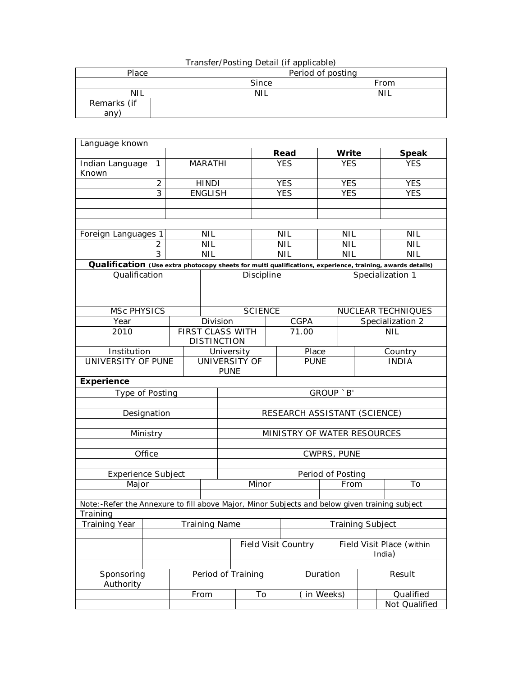| Transfer/Posting Detail (if applicable) |       |      |  |  |  |  |  |  |  |
|-----------------------------------------|-------|------|--|--|--|--|--|--|--|
| Period of posting<br>Place              |       |      |  |  |  |  |  |  |  |
|                                         | Since | From |  |  |  |  |  |  |  |
| <b>NIL</b>                              | NII   | NIL  |  |  |  |  |  |  |  |
| Remarks (if                             |       |      |  |  |  |  |  |  |  |
| any                                     |       |      |  |  |  |  |  |  |  |

| Language known                                                                                            |                |                |                              |                              |            |             |                                     |                  |                    |  |
|-----------------------------------------------------------------------------------------------------------|----------------|----------------|------------------------------|------------------------------|------------|-------------|-------------------------------------|------------------|--------------------|--|
|                                                                                                           |                |                |                              |                              | Read       |             | Write                               |                  | <b>Speak</b>       |  |
| Indian Language<br>Known                                                                                  | 1              |                | <b>MARATHI</b>               |                              | <b>YES</b> |             | <b>YES</b>                          |                  | <b>YES</b>         |  |
|                                                                                                           | $\overline{2}$ |                | <b>HINDI</b>                 |                              | <b>YES</b> |             | <b>YES</b>                          |                  | <b>YES</b>         |  |
| 3                                                                                                         |                | <b>ENGLISH</b> |                              |                              | <b>YES</b> |             | <b>YES</b>                          |                  | <b>YES</b>         |  |
|                                                                                                           |                |                |                              |                              |            |             |                                     |                  |                    |  |
|                                                                                                           |                |                |                              |                              |            |             |                                     |                  |                    |  |
| Foreign Languages 1                                                                                       |                |                | <b>NIL</b>                   |                              | <b>NIL</b> |             | <b>NIL</b>                          |                  | <b>NIL</b>         |  |
|                                                                                                           | 2              |                | NIL                          |                              | <b>NIL</b> |             | <b>NIL</b>                          |                  | <b>NIL</b>         |  |
|                                                                                                           | 3              |                | NIL                          |                              | <b>NIL</b> |             | <b>NIL</b>                          |                  | <b>NIL</b>         |  |
| Qualification (Use extra photocopy sheets for multi qualifications, experience, training, awards details) |                |                |                              |                              |            |             |                                     |                  |                    |  |
| Qualification                                                                                             |                |                |                              | Discipline                   |            |             |                                     |                  | Specialization 1   |  |
| <b>MSc PHYSICS</b>                                                                                        |                |                |                              | <b>SCIENCE</b>               |            |             |                                     |                  | NUCLEAR TECHNIQUES |  |
| Year                                                                                                      |                |                | Division                     |                              |            | CGPA        |                                     | Specialization 2 |                    |  |
| 2010                                                                                                      |                |                | <b>DISTINCTION</b>           | FIRST CLASS WITH<br>71.00    |            |             |                                     | <b>NIL</b>       |                    |  |
| Institution                                                                                               |                |                |                              | University                   |            | Place       |                                     | Country          |                    |  |
| UNIVERSITY OF PUNE                                                                                        |                |                | UNIVERSITY OF<br><b>PUNE</b> |                              |            | <b>PUNE</b> |                                     |                  | <b>INDIA</b>       |  |
| <b>Experience</b>                                                                                         |                |                |                              |                              |            |             |                                     |                  |                    |  |
| Type of Posting                                                                                           |                |                |                              | GROUP `B'                    |            |             |                                     |                  |                    |  |
|                                                                                                           |                |                |                              | RESEARCH ASSISTANT (SCIENCE) |            |             |                                     |                  |                    |  |
|                                                                                                           | Designation    |                |                              |                              |            |             |                                     |                  |                    |  |
|                                                                                                           | Ministry       |                |                              |                              |            |             |                                     |                  |                    |  |
|                                                                                                           |                |                |                              | MINISTRY OF WATER RESOURCES  |            |             |                                     |                  |                    |  |
|                                                                                                           | Office         |                |                              |                              |            |             | CWPRS, PUNE                         |                  |                    |  |
|                                                                                                           |                |                |                              |                              |            |             |                                     |                  |                    |  |
| <b>Experience Subject</b>                                                                                 |                |                |                              |                              |            |             | Period of Posting                   |                  |                    |  |
| Major                                                                                                     |                |                |                              | Minor                        |            |             | From                                |                  | To                 |  |
|                                                                                                           |                |                |                              |                              |            |             |                                     |                  |                    |  |
| Note:-Refer the Annexure to fill above Major, Minor Subjects and below given training subject<br>Training |                |                |                              |                              |            |             |                                     |                  |                    |  |
| Training Year<br><b>Training Name</b>                                                                     |                |                |                              |                              |            |             | Training Subject                    |                  |                    |  |
|                                                                                                           |                |                |                              |                              |            |             |                                     |                  |                    |  |
|                                                                                                           |                |                |                              | <b>Field Visit Country</b>   |            |             | Field Visit Place (within<br>India) |                  |                    |  |
|                                                                                                           |                |                |                              |                              |            |             |                                     |                  |                    |  |
| Sponsoring<br>Authority                                                                                   |                |                | Period of Training           |                              |            | Duration    |                                     | Result           |                    |  |
|                                                                                                           |                |                | From                         | To                           |            |             | in Weeks)                           |                  | Qualified          |  |
|                                                                                                           |                |                |                              |                              |            |             |                                     |                  | Not Qualified      |  |